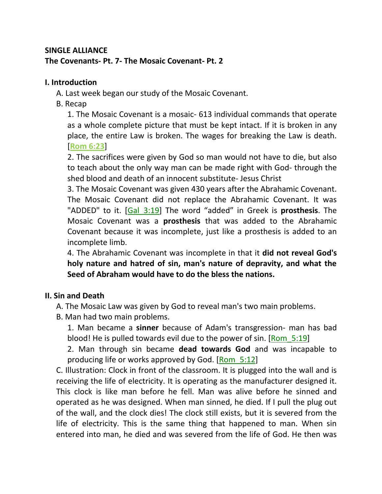## **SINGLE ALLIANCE The Covenants- Pt. 7- The Mosaic Covenant- Pt. 2**

## **I. Introduction**

A. Last week began our study of the Mosaic Covenant.

B. Recap

1. The Mosaic Covenant is a mosaic- 613 individual commands that operate as a whole complete picture that must be kept intact. If it is broken in any place, the entire Law is broken. The wages for breaking the Law is death. [**Rom 6:23**]

2. The sacrifices were given by God so man would not have to die, but also to teach about the only way man can be made right with God- through the shed blood and death of an innocent substitute- Jesus Christ

3. The Mosaic Covenant was given 430 years after the Abrahamic Covenant. The Mosaic Covenant did not replace the Abrahamic Covenant. It was "ADDED" to it. [Gal\_3:19] The word "added" in Greek is **prosthesis**. The Mosaic Covenant was a **prosthesis** that was added to the Abrahamic Covenant because it was incomplete, just like a prosthesis is added to an incomplete limb.

4. The Abrahamic Covenant was incomplete in that it **did not reveal God's holy nature and hatred of sin, man's nature of depravity, and what the Seed of Abraham would have to do the bless the nations.** 

## **II. Sin and Death**

A. The Mosaic Law was given by God to reveal man's two main problems.

B. Man had two main problems.

1. Man became a **sinner** because of Adam's transgression- man has bad blood! He is pulled towards evil due to the power of sin. [Rom\_5:19]

2. Man through sin became **dead towards God** and was incapable to producing life or works approved by God. [Rom 5:12]

C. Illustration: Clock in front of the classroom. It is plugged into the wall and is receiving the life of electricity. It is operating as the manufacturer designed it. This clock is like man before he fell. Man was alive before he sinned and operated as he was designed. When man sinned, he died. If I pull the plug out of the wall, and the clock dies! The clock still exists, but it is severed from the life of electricity. This is the same thing that happened to man. When sin entered into man, he died and was severed from the life of God. He then was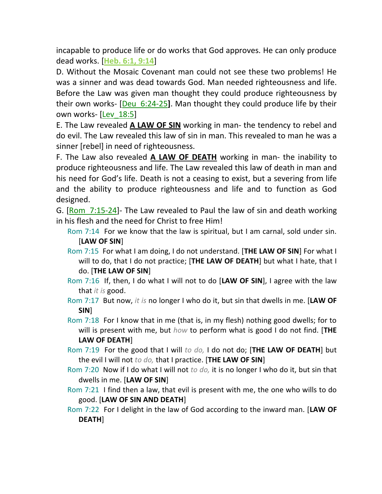incapable to produce life or do works that God approves. He can only produce dead works. [**Heb. 6:1, 9:14**]

D. Without the Mosaic Covenant man could not see these two problems! He was a sinner and was dead towards God. Man needed righteousness and life. Before the Law was given man thought they could produce righteousness by their own works- [Deu\_6:24-25**]**. Man thought they could produce life by their own works- [Lev 18:5]

E. The Law revealed **A LAW OF SIN** working in man- the tendency to rebel and do evil. The Law revealed this law of sin in man. This revealed to man he was a sinner [rebel] in need of righteousness.

F. The Law also revealed **A LAW OF DEATH** working in man- the inability to produce righteousness and life. The Law revealed this law of death in man and his need for God's life. Death is not a ceasing to exist, but a severing from life and the ability to produce righteousness and life and to function as God designed.

G.  $[Rom 7:15-24]$ - The Law revealed to Paul the law of sin and death working in his flesh and the need for Christ to free Him!

- Rom 7:14 For we know that the law is spiritual, but I am carnal, sold under sin. [**LAW OF SIN**]
- Rom 7:15 For what I am doing, I do not understand. [**THE LAW OF SIN**] For what I will to do, that I do not practice; [**THE LAW OF DEATH**] but what I hate, that I do. [**THE LAW OF SIN**]
- Rom 7:16 If, then, I do what I will not to do [**LAW OF SIN**], I agree with the law that *it is* good.
- Rom 7:17 But now, *it is* no longer I who do it, but sin that dwells in me. [**LAW OF SIN**]
- Rom 7:18 For I know that in me (that is, in my flesh) nothing good dwells; for to will is present with me, but *how* to perform what is good I do not find. [**THE LAW OF DEATH**]
- Rom 7:19 For the good that I will *to do,* I do not do; [**THE LAW OF DEATH**] but the evil I will not *to do,* that I practice. [**THE LAW OF SIN**]
- Rom 7:20 Now if I do what I will not *to do,* it is no longer I who do it, but sin that dwells in me. [**LAW OF SIN**]
- Rom 7:21 I find then a law, that evil is present with me, the one who wills to do good. [**LAW OF SIN AND DEATH**]
- Rom 7:22 For I delight in the law of God according to the inward man. [**LAW OF DEATH**]